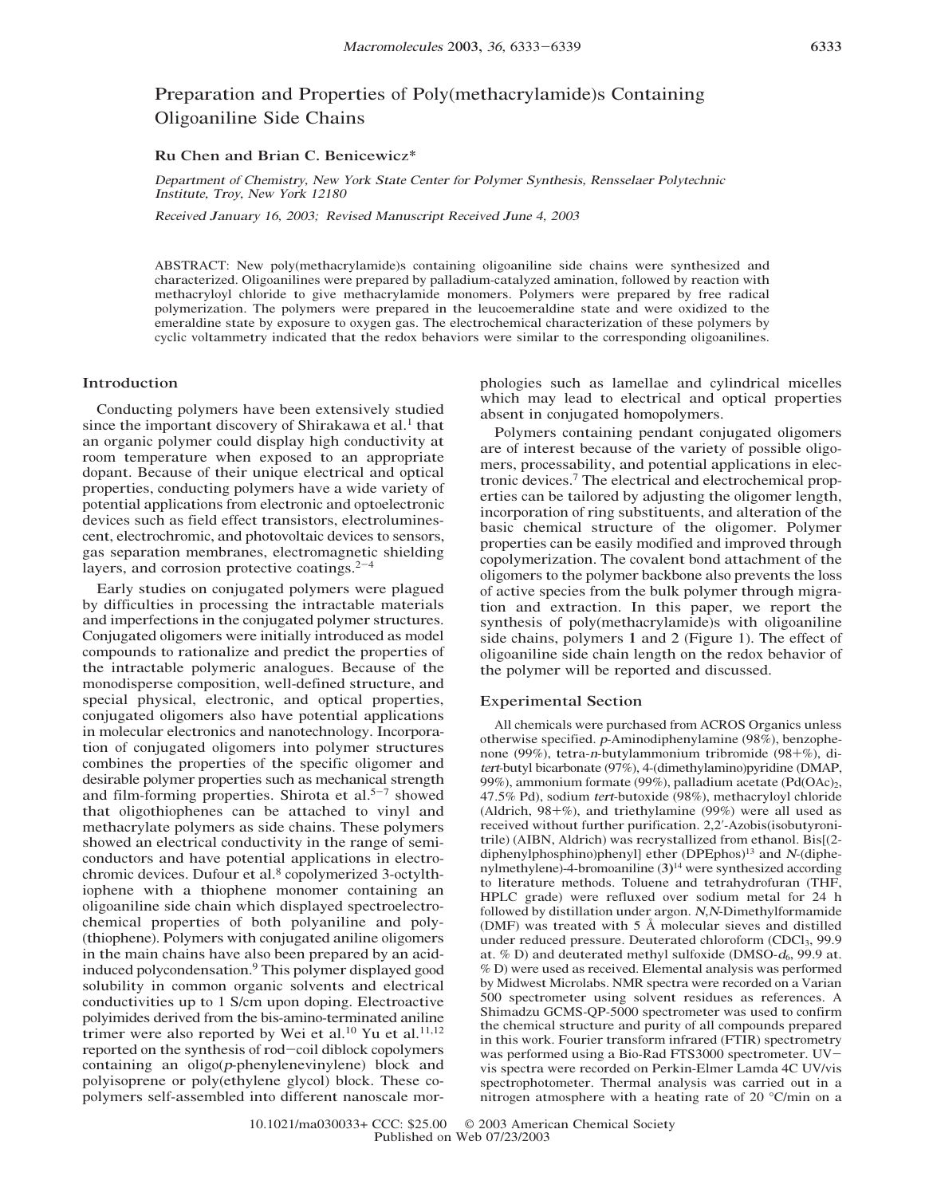# Preparation and Properties of Poly(methacrylamide)s Containing Oligoaniline Side Chains

## Ru Chen and Brian C. Benicewicz\*

Departmen<sup>t</sup> of Chemist<sup>r</sup>y, N<sup>e</sup><sup>w</sup> York Stat<sup>e</sup> Cente<sup>r</sup> fo<sup>r</sup> Poly<sup>m</sup>e<sup>r</sup> Sy<sup>n</sup>thesis, Rensselae<sup>r</sup> Polytechni<sup>c</sup> Institute, Troy, N<sup>e</sup><sup>w</sup> York 12180

Receiv<sup>e</sup>d Janua<sup>r</sup>y 16, 2003; Revised Manuscrip<sup>t</sup> Receiv<sup>e</sup>d Jun<sup>e</sup> 4, 2003

ABSTRACT: New poly(methacrylamide)s containing oligoaniline side chains were synthesized and characterized. Oligoanilines were prepared by palladium-catalyzed amination, followed by reaction with methacryloyl chloride to give methacrylamide monomers. Polymers were prepared by free radical polymerization. The polymers were prepared in the leucoemeraldine state and were oxidized to the emeraldine state by exposure to oxygen gas. The electrochemical characterization of these polymers by cyclic voltammetry indicated that the redox behaviors were similar to the corresponding oligoanilines.

## Introduction

Conducting polymers have been extensively studied since the important discovery of Shirakawa et al.<sup>1</sup> that an organic polymer could display high conductivity at room temperature when exposed to an appropriate dopant. Because of their unique electrical and optical properties, conducting polymers have a wide variety of potential applications from electronic and optoelectronic devices such as field effect transistors, electroluminescent, electrochromic, and photovoltaic devices to sensors, gas separation membranes, electromagnetic shielding layers, and corrosion protective coatings. $2^{-4}$ 

Early studies on conjugated polymers were plagued by difficulties in processing the intractable materials and imperfections in the conjugated polymer structures. Conjugated oligomers were initially introduced as model compounds to rationalize and predict the properties of the intractable polymeric analogues. Because of the monodisperse composition, well-defined structure, and special physical, electronic, and optical properties, conjugated oligomers also have potential applications in molecular electronics and nanotechnology. Incorporation of conjugated oligomers into polymer structures combines the properties of the specific oligomer and desirable polymer properties such as mechanical strength and film-forming properties. Shirota et al.<sup>5-7</sup> showed that oligothiophenes can be attached to vinyl and methacrylate polymers as side chains. These polymers showed an electrical conductivity in the range of semiconductors and have potential applications in electrochromic devices. Dufour et al.<sup>8</sup> copolymerized 3-octylthiophene with a thiophene monomer containing an oligoaniline side chain which displayed spectroelectrochemical properties of both polyaniline and poly- (thiophene). Polymers with conjugated aniline oligomers in the main chains have also been prepared by an acidinduced polycondensation.9 This polymer displayed good solubility in common organic solvents and electrical conductivities up to 1 S/cm upon doping. Electroactive polyimides derived from the bis-amino-terminated aniline trimer were also reported by Wei et al.<sup>10</sup> Yu et al.<sup>11,12</sup> reported on the synthesis of rod-coil diblock copolymers containing an oligo(p-phenylenevinylene) block and polyisoprene or poly(ethylene glycol) block. These copolymers self-assembled into different nanoscale morphologies such as lamellae and cylindrical micelles which may lead to electrical and optical properties absent in conjugated homopolymers.

Polymers containing pendant conjugated oligomers are of interest because of the variety of possible oligomers, processability, and potential applications in electronic devices.7 The electrical and electrochemical properties can be tailored by adjusting the oligomer length, incorporation of ring substituents, and alteration of the basic chemical structure of the oligomer. Polymer properties can be easily modified and improved through copolymerization. The covalent bond attachment of the oligomers to the polymer backbone also prevents the loss of active species from the bulk polymer through migration and extraction. In this paper, we report the synthesis of poly(methacrylamide)s with oligoaniline side chains, polymers 1 and 2 (Figure 1). The effect of oligoaniline side chain length on the redox behavior of the polymer will be reported and discussed.

#### Experimental Section

All chemicals were purchased from ACROS Organics unless otherwise specified. <sup>p</sup>-Aminodiphenylamine (98%), benzophenone (99%), tetra-n-butylammonium tribromide (98+%), di<sup>t</sup>er<sup>t</sup>-butyl bicarbonate (97%), 4-(dimethylamino)pyridine (DMAP, 99%), ammonium formate (99%), palladium acetate (Pd(OAc)<sub>2</sub>, 47.5% Pd), sodium <sup>t</sup>er<sup>t</sup>-butoxide (98%), methacryloyl chloride (Aldrich, 98+%), and triethylamine (99%) were all used as received without further purification. 2,2'-Azobis(isobutyronitrile) (AIBN, Aldrich) was recrystallized from ethanol. Bis[(2 diphenylphosphino)phenyl] ether (DPEphos)<sup>13</sup> and N-(diphenylmethylene)-4-bromoaniline  $(3)^{14}$  were synthesized according to literature methods. Toluene and tetrahydrofuran (THF, HPLC grade) were refluxed over sodium metal for 24 h followed by distillation under argon. <sup>N</sup>,<sup>N</sup>-Dimethylformamide (DMF) was treated with 5 Å molecular sieves and distilled under reduced pressure. Deuterated chloroform (CDCl<sub>3</sub>, 99.9 at.  $%$  D) and deuterated methyl sulfoxide (DMSO- $d_6$ , 99.9 at. % D) were used as received. Elemental analysis was performed by Midwest Microlabs. NMR spectra were recorded on a Varian 500 spectrometer using solvent residues as references. A Shimadzu GCMS-QP-5000 spectrometer was used to confirm the chemical structure and purity of all compounds prepared in this work. Fourier transform infrared (FTIR) spectrometry was performed using a Bio-Rad FTS3000 spectrometer. UVvis spectra were recorded on Perkin-Elmer Lamda 4C UV/vis spectrophotometer. Thermal analysis was carried out in a nitrogen atmosphere with a heating rate of 20 °C/min on a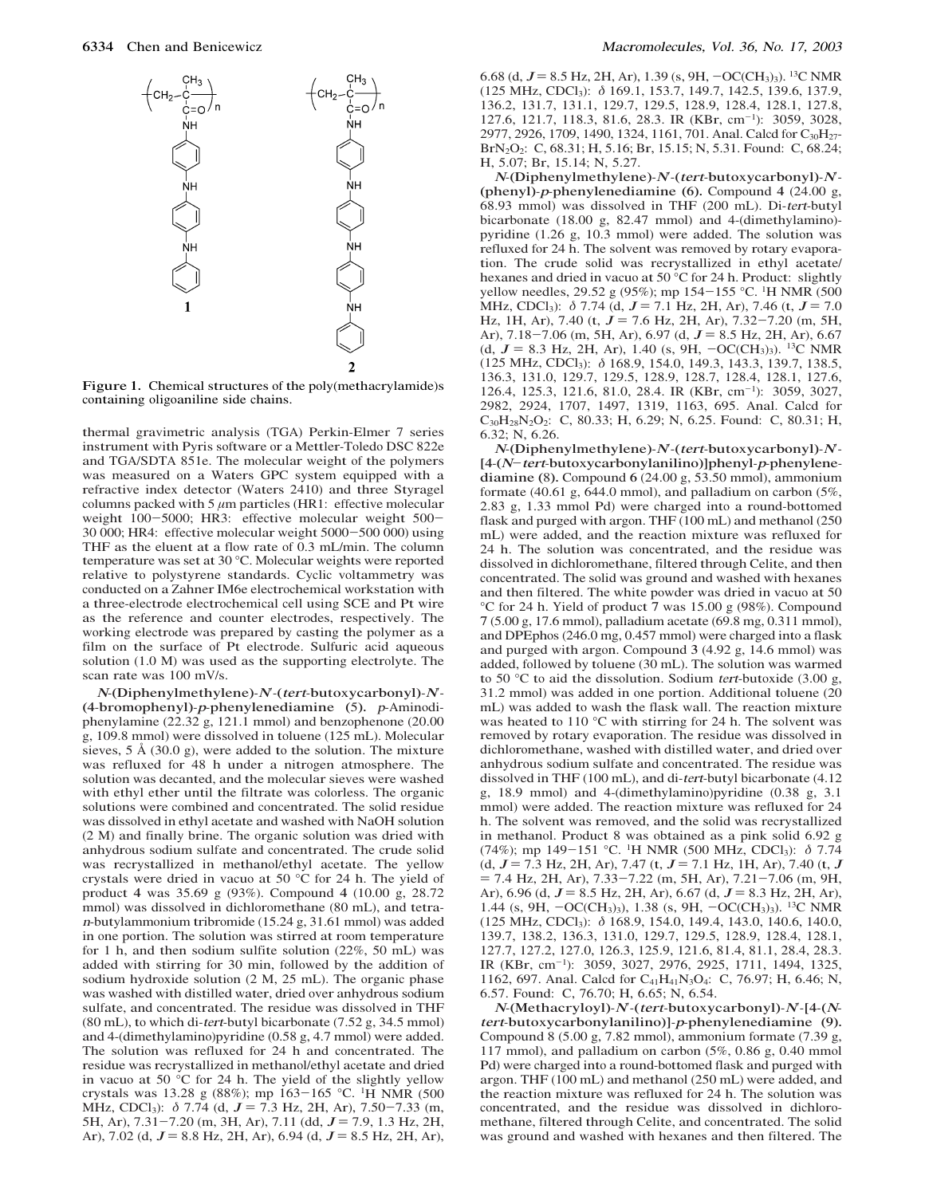

Figure 1. Chemical structures of the poly(methacrylamide)s containing oligoaniline side chains.

thermal gravimetric analysis (TGA) Perkin-Elmer 7 series instrument with Pyris software or a Mettler-Toledo DSC 822e and TGA/SDTA 851e. The molecular weight of the polymers was measured on a Waters GPC system equipped with a refractive index detector (Waters 2410) and three Styragel columns packed with 5  $\mu$ m particles (HR1: effective molecular weight 100-5000; HR3: effective molecular weight 500-30 000; HR4: effective molecular weight 5000-500 000) using THF as the eluent at a flow rate of 0.3 mL/min. The column temperature was set at 30 °C. Molecular weights were reported relative to polystyrene standards. Cyclic voltammetry was conducted on a Zahner IM6e electrochemical workstation with a three-electrode electrochemical cell using SCE and Pt wire as the reference and counter electrodes, respectively. The working electrode was prepared by casting the polymer as a film on the surface of Pt electrode. Sulfuric acid aqueous solution (1.0 M) was used as the supporting electrolyte. The scan rate was 100 mV/s.

 $N$ -(Diphenylmethylene)- $N$ -(tert-butoxycarbonyl)- $N$ -(4-bromophenyl)-p-phenylenediamine (5). <sup>p</sup>-Aminodiphenylamine (22.32 g, 121.1 mmol) and benzophenone (20.00 g, 109.8 mmol) were dissolved in toluene (125 mL). Molecular sieves, 5 Å (30.0 g), were added to the solution. The mixture was refluxed for 48 h under a nitrogen atmosphere. The solution was decanted, and the molecular sieves were washed with ethyl ether until the filtrate was colorless. The organic solutions were combined and concentrated. The solid residue was dissolved in ethyl acetate and washed with NaOH solution (2 M) and finally brine. The organic solution was dried with anhydrous sodium sulfate and concentrated. The crude solid was recrystallized in methanol/ethyl acetate. The yellow crystals were dried in vacuo at 50 °C for 24 h. The yield of product 4 was 35.69 g (93%). Compound 4 (10.00 g, 28.72 mmol) was dissolved in dichloromethane (80 mL), and tetra<sup>n</sup>-butylammonium tribromide (15.24 g, 31.61 mmol) was added in one portion. The solution was stirred at room temperature for 1 h, and then sodium sulfite solution (22%, 50 mL) was added with stirring for 30 min, followed by the addition of sodium hydroxide solution (2 M, 25 mL). The organic phase was washed with distilled water, dried over anhydrous sodium sulfate, and concentrated. The residue was dissolved in THF (80 mL), to which di-<sup>t</sup>er<sup>t</sup>-butyl bicarbonate (7.52 g, 34.5 mmol) and 4-(dimethylamino)pyridine (0.58 g, 4.7 mmol) were added. The solution was refluxed for 24 h and concentrated. The residue was recrystallized in methanol/ethyl acetate and dried in vacuo at 50 °C for 24 h. The yield of the slightly yellow crystals was 13.28 <sup>g</sup> (88%); mp 163-165 °C. 1H NMR (500 MHz, CDCl<sub>3</sub>):  $\delta$  7.74 (d,  $J = 7.3$  Hz, 2H, Ar), 7.50-7.33 (m, 5H, Ar),  $7.31 - 7.20$  (m, 3H, Ar),  $7.11$  (dd,  $J = 7.9$ , 1.3 Hz, 2H, Ar), 7.02 (d,  $J = 8.8$  Hz, 2H, Ar), 6.94 (d,  $J = 8.5$  Hz, 2H, Ar), 6.68 (d,  $J = 8.5$  Hz, 2H, Ar), 1.39 (s, 9H,  $-OC(CH<sub>3</sub>)<sub>3</sub>$ ). <sup>13</sup>C NMR (125 MHz, CDCl3): δ 169.1, 153.7, 149.7, 142.5, 139.6, 137.9, 136.2, 131.7, 131.1, 129.7, 129.5, 128.9, 128.4, 128.1, 127.8, 127.6, 121.7, 118.3, 81.6, 28.3. IR (KBr, cm-1): 3059, 3028, 2977, 2926, 1709, 1490, 1324, 1161, 701. Anal. Calcd for C<sub>30</sub>H<sub>27</sub>-BrN2O2: C, 68.31; H, 5.16; Br, 15.15; N, 5.31. Found: C, 68.24; H, 5.07; Br, 15.14; N, 5.27.

 $N$ -(Diphenylmethylene)- $N$ -(tert-butoxycarbonyl)- $N$ -(phenyl)-p-phenylenediamine (6). <sup>C</sup>ompound 4 (24.00 g, 68.93 mmol) was dissolved in THF (200 mL). Di-<sup>t</sup>er<sup>t</sup>-butyl bicarbonate (18.00 g, 82.47 mmol) and 4-(dimethylamino) pyridine (1.26 g, 10.3 mmol) were added. The solution was refluxed for 24 h. The solvent was removed by rotary evaporation. The crude solid was recrystallized in ethyl acetate/ hexanes and dried in vacuo at 50 °C for 24 h. Product: slightly yellow needles, 29.52 g (95%); mp 154-155 °C. <sup>1</sup>H NMR (500 MHz, CDCl<sub>3</sub>):  $\delta$  7.74 (d, J = 7.1 Hz, 2H, Ar), 7.46 (t, J = 7.0 Hz, 1H, Ar), 7.40 (t,  $J = 7.6$  Hz, 2H, Ar), 7.32-7.20 (m, 5H, Ar),  $7.18 - 7.06$  (m, 5H, Ar), 6.97 (d,  $J = 8.5$  Hz, 2H, Ar), 6.67 (d,  $J = 8.3$  Hz, 2H, Ar), 1.40 (s, 9H,  $-OC(CH_3)_3$ ). <sup>13</sup>C NMR (125 MHz, CDCl3): δ 168.9, 154.0, 149.3, 143.3, 139.7, 138.5, 136.3, 131.0, 129.7, 129.5, 128.9, 128.7, 128.4, 128.1, 127.6, 126.4, 125.3, 121.6, 81.0, 28.4. IR (KBr, cm<sup>-1</sup>): 3059, 3027, 2982, 2924, 1707, 1497, 1319, 1163, 695. Anal. Calcd for C30H28N2O2: C, 80.33; H, 6.29; N, 6.25. Found: C, 80.31; H, 6.32; N, 6.26.

N-(Diphenylmethylene)-N-(tert-butoxycarbonyl)-N-[4-(N-<sup>t</sup>er<sup>t</sup>-butoxycarbonylanilino)]phenyl-p-phenylenediamine (8). Compound 6 (24.00 g, 53.50 mmol), ammonium formate (40.61 g, 644.0 mmol), and palladium on carbon (5%, 2.83 g, 1.33 mmol Pd) were charged into a round-bottomed flask and purged with argon. THF (100 mL) and methanol (250 mL) were added, and the reaction mixture was refluxed for 24 h. The solution was concentrated, and the residue was dissolved in dichloromethane, filtered through Celite, and then concentrated. The solid was ground and washed with hexanes and then filtered. The white powder was dried in vacuo at 50 °C for 24 h. Yield of product 7 was 15.00 g (98%). Compound 7 (5.00 g, 17.6 mmol), palladium acetate (69.8 mg, 0.311 mmol), and DPEphos (246.0 mg, 0.457 mmol) were charged into a flask and purged with argon. Compound 3 (4.92 g, 14.6 mmol) was added, followed by toluene (30 mL). The solution was warmed to 50 °C to aid the dissolution. Sodium <sup>t</sup>er<sup>t</sup>-butoxide (3.00 g, 31.2 mmol) was added in one portion. Additional toluene (20 mL) was added to wash the flask wall. The reaction mixture was heated to 110 °C with stirring for 24 h. The solvent was removed by rotary evaporation. The residue was dissolved in dichloromethane, washed with distilled water, and dried over anhydrous sodium sulfate and concentrated. The residue was dissolved in THF (100 mL), and di-<sup>t</sup>er<sup>t</sup>-butyl bicarbonate (4.12 g, 18.9 mmol) and 4-(dimethylamino)pyridine (0.38 g, 3.1 mmol) were added. The reaction mixture was refluxed for 24 h. The solvent was removed, and the solid was recrystallized in methanol. Product 8 was obtained as a pink solid 6.92 g (74%); mp 149-151 °C. <sup>1</sup>H NMR (500 MHz, CDCl<sub>3</sub>):  $\delta$  7.74  $(d, J = 7.3 \text{ Hz}, 2H, Ar), 7.47 \text{ (t, } J = 7.1 \text{ Hz}, 1H, Ar), 7.40 \text{ (t, } J$  $= 7.4$  Hz, 2H, Ar),  $7.33 - 7.22$  (m, 5H, Ar),  $7.21 - 7.06$  (m, 9H, Ar), 6.96 (d,  $J = 8.5$  Hz, 2H, Ar), 6.67 (d,  $J = 8.3$  Hz, 2H, Ar), 1.44 (s, 9H, -OC(CH<sub>3</sub>)<sub>3</sub>), 1.38 (s, 9H, -OC(CH<sub>3</sub>)<sub>3</sub>). <sup>13</sup>C NMR (125 MHz, CDCl3): δ 168.9, 154.0, 149.4, 143.0, 140.6, 140.0, 139.7, 138.2, 136.3, 131.0, 129.7, 129.5, 128.9, 128.4, 128.1, 127.7, 127.2, 127.0, 126.3, 125.9, 121.6, 81.4, 81.1, 28.4, 28.3. IR (KBr, cm-1): 3059, 3027, 2976, 2925, 1711, 1494, 1325, 1162, 697. Anal. Calcd for C<sub>41</sub>H<sub>41</sub>N<sub>3</sub>O<sub>4</sub>: C, 76.97; H, 6.46; N, 6.57. Found: C, 76.70; H, 6.65; N, 6.54.

 $N$ -(Methacryloyl)- $N$ -(tert-butoxycarbonyl)- $N$ -[4-(N<sup>t</sup>er<sup>t</sup>-butoxycarbonylanilino)]-p-phenylenediamine (9). Compound 8 (5.00 g, 7.82 mmol), ammonium formate (7.39 g, 117 mmol), and palladium on carbon (5%, 0.86 g, 0.40 mmol Pd) were charged into a round-bottomed flask and purged with argon. THF (100 mL) and methanol (250 mL) were added, and the reaction mixture was refluxed for 24 h. The solution was concentrated, and the residue was dissolved in dichloromethane, filtered through Celite, and concentrated. The solid was ground and washed with hexanes and then filtered. The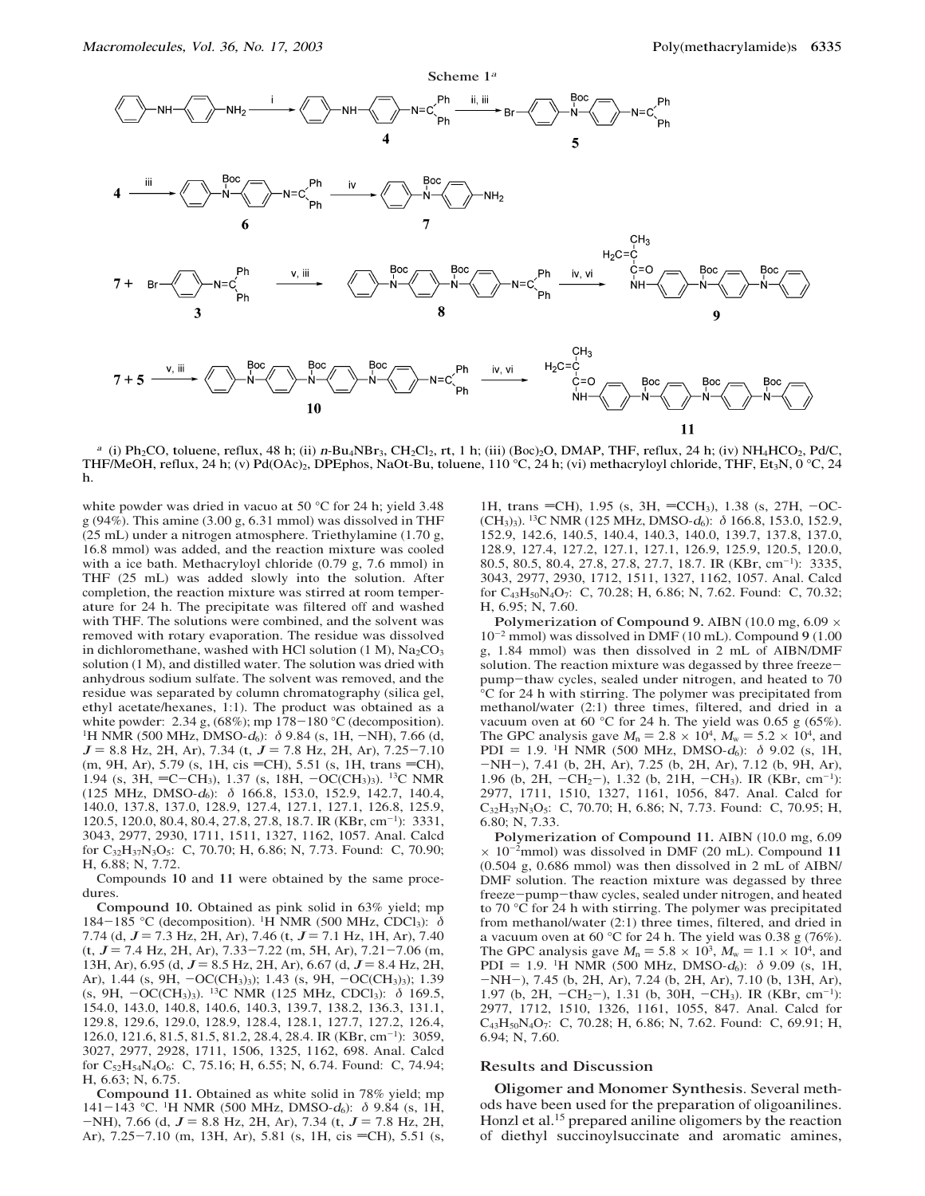

<sup>a</sup> (i) Ph<sub>2</sub>CO, toluene, reflux, 48 h; (ii)  $n-\text{Bu}_4NBr_3$ , CH<sub>2</sub>Cl<sub>2</sub>, rt, 1 h; (iii) (Boc)<sub>2</sub>O, DMAP, THF, reflux, 24 h; (iv) NH<sub>4</sub>HCO<sub>2</sub>, Pd/C, THF/MeOH, reflux, 24 h; (v) Pd(OAc)<sub>2</sub>, DPEphos, NaOt-Bu, toluene, 110 °C, 24 h; (vi) methacryloyl chloride, THF, Et<sub>3</sub>N, 0 °C, 24 h.

white powder was dried in vacuo at 50 °C for 24 h; yield 3.48 g (94%). This amine (3.00 g, 6.31 mmol) was dissolved in THF (25 mL) under a nitrogen atmosphere. Triethylamine (1.70 g, 16.8 mmol) was added, and the reaction mixture was cooled with a ice bath. Methacryloyl chloride (0.79 g, 7.6 mmol) in THF (25 mL) was added slowly into the solution. After completion, the reaction mixture was stirred at room temperature for 24 h. The precipitate was filtered off and washed with THF. The solutions were combined, and the solvent was removed with rotary evaporation. The residue was dissolved in dichloromethane, washed with HCl solution  $(1 M)$ , Na<sub>2</sub>CO<sub>3</sub> solution (1 M), and distilled water. The solution was dried with anhydrous sodium sulfate. The solvent was removed, and the residue was separated by column chromatography (silica gel, ethyl acetate/hexanes, 1:1). The product was obtained as a white powder: 2.34 g, (68%); mp 178-180 °<sup>C</sup> (decomposition). <sup>1</sup>H NMR (500 MHz, DMSO- $d_6$ ):  $\delta$  9.84 (s, 1H, -NH), 7.66 (d,  $J = 8.8$  Hz, 2H, Ar), 7.34 (t,  $J = 7.8$  Hz, 2H, Ar), 7.25-7.10 (m, 9H, Ar), 5.79 (s, 1H, cis = CH), 5.51 (s, 1H, trans = CH), 1.94 (s, 3H, =C-CH<sub>3</sub>), 1.37 (s, 18H, -OC(CH<sub>3</sub>)<sub>3</sub>). <sup>13</sup>C NMR (125 MHz, DMSO- $d_6$ ):  $\delta$  166.8, 153.0, 152.9, 142.7, 140.4, 140.0, 137.8, 137.0, 128.9, 127.4, 127.1, 127.1, 126.8, 125.9, 120.5, 120.0, 80.4, 80.4, 27.8, 27.8, 18.7. IR (KBr, cm-1): 3331, 3043, 2977, 2930, 1711, 1511, 1327, 1162, 1057. Anal. Calcd for C<sub>32</sub>H<sub>37</sub>N<sub>3</sub>O<sub>5</sub>: C, 70.70; H, 6.86; N, 7.73. Found: C, 70.90; H, 6.88; N, 7.72.

Compounds 10 and 11 were obtained by the same procedures.

Compound 10. Obtained as pink solid in 63% yield; mp 184-185 °C (decomposition). <sup>1</sup>H NMR (500 MHz, CDCl<sub>3</sub>):  $\delta$ 7.74 (d,  $J = 7.3$  Hz, 2H, Ar), 7.46 (t,  $J = 7.1$  Hz, 1H, Ar), 7.40  $(t, J = 7.4 \text{ Hz}, 2H, Ar), 7.33-7.22 \text{ (m, 5H, Ar)}, 7.21-7.06 \text{ (m, m)}$ 13H, Ar), 6.95 (d,  $J = 8.5$  Hz, 2H, Ar), 6.67 (d,  $J = 8.4$  Hz, 2H, Ar), 1.44 (s, 9H, -OC(CH<sub>3</sub>)<sub>3</sub>); 1.43 (s, 9H, -OC(CH<sub>3</sub>)<sub>3</sub>); 1.39 (s, 9H,  $-OC(CH_3)$ ). <sup>13</sup>C NMR (125 MHz, CDCl<sub>3</sub>):  $\delta$  169.5, 154.0, 143.0, 140.8, 140.6, 140.3, 139.7, 138.2, 136.3, 131.1, 129.8, 129.6, 129.0, 128.9, 128.4, 128.1, 127.7, 127.2, 126.4, 126.0, 121.6, 81.5, 81.5, 81.2, 28.4, 28.4. IR (KBr, cm-1): 3059, 3027, 2977, 2928, 1711, 1506, 1325, 1162, 698. Anal. Calcd for C<sub>52</sub>H<sub>54</sub>N<sub>4</sub>O<sub>6</sub>: C, 75.16; H, 6.55; N, 6.74. Found: C, 74.94; H, 6.63; N, 6.75.

Compound 11. Obtained as white solid in 78% yield; mp 141-143 °C. <sup>1</sup>H NMR (500 MHz, DMSO- $d_6$ ): δ 9.84 (s, 1H,  $-NH$ ), 7.66 (d,  $J = 8.8$  Hz, 2H, Ar), 7.34 (t,  $J = 7.8$  Hz, 2H, Ar), 7.25-7.10 (m, 13H, Ar), 5.81 (s, 1H, cis = CH), 5.51 (s,

1H, trans = CH), 1.95 (s, 3H, = CCH<sub>3</sub>), 1.38 (s, 27H,  $-OC$ -(CH3)3). 13C NMR (125 MHz, DMSO-<sup>d</sup>6): δ 166.8, 153.0, 152.9, 152.9, 142.6, 140.5, 140.4, 140.3, 140.0, 139.7, 137.8, 137.0, 128.9, 127.4, 127.2, 127.1, 127.1, 126.9, 125.9, 120.5, 120.0, 80.5, 80.5, 80.4, 27.8, 27.8, 27.7, 18.7. IR (KBr, cm-1): 3335, 3043, 2977, 2930, 1712, 1511, 1327, 1162, 1057. Anal. Calcd for C43H50N4O7: C, 70.28; H, 6.86; N, 7.62. Found: C, 70.32; H, 6.95; N, 7.60.

Polymerization of Compound 9. AIBN (10.0 mg,  $6.09 \times$  $10^{-2}$  mmol) was dissolved in DMF (10 mL). Compound 9 (1.00 g, 1.84 mmol) was then dissolved in 2 mL of AIBN/DMF solution. The reaction mixture was degassed by three freezepump-thaw cycles, sealed under nitrogen, and heated to 70 °C for 24 h with stirring. The polymer was precipitated from methanol/water (2:1) three times, filtered, and dried in a vacuum oven at 60 °C for 24 h. The yield was 0.65 g (65%). The GPC analysis gave  $M_n = 2.8 \times 10^4$ ,  $M_w = 5.2 \times 10^4$ , and PDI = 1.9. <sup>1</sup>H NMR (500 MHz, DMSO- $d_6$ ):  $\delta$  9.02 (s, 1H, -NH-), 7.41 (b, 2H, Ar), 7.25 (b, 2H, Ar), 7.12 (b, 9H, Ar), 1.96 (b, 2H,  $-CH_2$ ), 1.32 (b, 21H,  $-CH_3$ ). IR (KBr, cm<sup>-1</sup>): 2977, 1711, 1510, 1327, 1161, 1056, 847. Anal. Calcd for C32H37N3O5: C, 70.70; H, 6.86; N, 7.73. Found: C, 70.95; H, 6.80; N, 7.33.

Polymerization of Compound 11. AIBN (10.0 mg, 6.09  $\times$  10<sup>-2</sup>mmol) was dissolved in DMF (20 mL). Compound 11 (0.504 g, 0.686 mmol) was then dissolved in 2 mL of AIBN/ DMF solution. The reaction mixture was degassed by three freeze-pump-thaw cycles, sealed under nitrogen, and heated to 70 °C for 24 h with stirring. The polymer was precipitated from methanol/water (2:1) three times, filtered, and dried in a vacuum oven at 60 °C for 24 h. The yield was 0.38 g (76%). The GPC analysis gave  $M_n = 5.8 \times 10^3$ ,  $M_w = 1.1 \times 10^4$ , and PDI = 1.9. <sup>1</sup>H NMR (500 MHz, DMSO- $d_6$ ):  $\delta$  9.09 (s, 1H, -NH-), 7.45 (b, 2H, Ar), 7.24 (b, 2H, Ar), 7.10 (b, 13H, Ar), 1.97 (b, 2H,  $-CH_2$ ), 1.31 (b, 30H,  $-CH_3$ ). IR (KBr, cm<sup>-1</sup>): 2977, 1712, 1510, 1326, 1161, 1055, 847. Anal. Calcd for C43H50N4O7: C, 70.28; H, 6.86; N, 7.62. Found: C, 69.91; H, 6.94; N, 7.60.

#### Results and Discussion

Oligomer and Monomer Synthesis. Several methods have been used for the preparation of oligoanilines. Honzl et al.15 prepared aniline oligomers by the reaction of diethyl succinoylsuccinate and aromatic amines,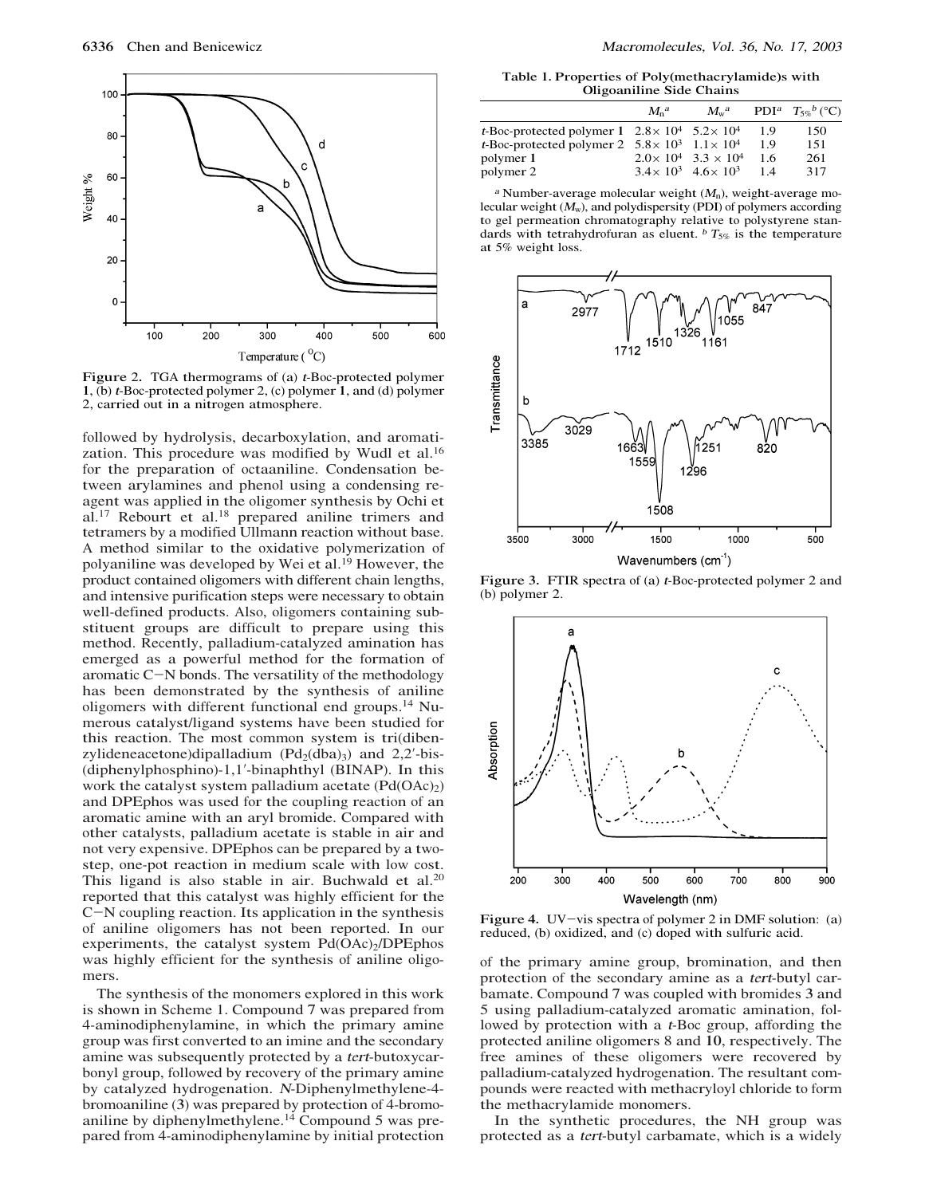

Figure 2. TGA thermograms of (a) <sup>t</sup>-Boc-protected polymer 1, (b) <sup>t</sup>-Boc-protected polymer 2, (c) polymer 1, and (d) polymer 2, carried out in a nitrogen atmosphere.

followed by hydrolysis, decarboxylation, and aromatization. This procedure was modified by Wudl et al.<sup>16</sup> for the preparation of octaaniline. Condensation between arylamines and phenol using a condensing reagent was applied in the oligomer synthesis by Ochi et al.17 Rebourt et al.18 prepared aniline trimers and tetramers by a modified Ullmann reaction without base. A method similar to the oxidative polymerization of polyaniline was developed by Wei et al.19 However, the product contained oligomers with different chain lengths, and intensive purification steps were necessary to obtain well-defined products. Also, oligomers containing substituent groups are difficult to prepare using this method. Recently, palladium-catalyzed amination has emerged as a powerful method for the formation of aromatic <sup>C</sup>-N bonds. The versatility of the methodology has been demonstrated by the synthesis of aniline oligomers with different functional end groups.14 Numerous catalyst/ligand systems have been studied for this reaction. The most common system is tri(dibenzylideneacetone)dipalladium  $(Pd_2(dba)_3)$  and  $2,2'-bis$ -(diphenylphosphino)-1,1'-binaphthyl (BINAP). In this work the catalyst system palladium acetate  $(Pd(OAc)_2)$ and DPEphos was used for the coupling reaction of an aromatic amine with an aryl bromide. Compared with other catalysts, palladium acetate is stable in air and not very expensive. DPEphos can be prepared by a twostep, one-pot reaction in medium scale with low cost. This ligand is also stable in air. Buchwald et al. $20$ reported that this catalyst was highly efficient for the <sup>C</sup>-N coupling reaction. Its application in the synthesis of aniline oligomers has not been reported. In our experiments, the catalyst system  $Pd(OAc)<sub>2</sub>/DPEphos$ was highly efficient for the synthesis of aniline oligomers.

The synthesis of the monomers explored in this work is shown in Scheme 1. Compound 7 was prepared from 4-aminodiphenylamine, in which the primary amine group was first converted to an imine and the secondary amine was subsequently protected by a <sup>t</sup>er<sup>t</sup>-butoxycarbonyl group, followed by recovery of the primary amine by catalyzed hydrogenation. <sup>N</sup>-Diphenylmethylene-4 bromoaniline (3) was prepared by protection of 4-bromoaniline by diphenylmethylene.<sup>14</sup> Compound 5 was prepared from 4-aminodiphenylamine by initial protection

Table 1. Properties of Poly(methacrylamide)s with Oligoaniline Side Chains

|                                                                         | $M_a^a$ | $M_{\rm w}^{\rm a}$                 |     | <b>PDI</b> <sup>a</sup> $T_{5\alpha}{}^b$ (°C) |
|-------------------------------------------------------------------------|---------|-------------------------------------|-----|------------------------------------------------|
| t-Boc-protected polymer $1 \quad 2.8 \times 10^4 \quad 5.2 \times 10^4$ |         |                                     | 1.9 | 150                                            |
| <i>t</i> -Boc-protected polymer 2 $5.8 \times 10^3$ $1.1 \times 10^4$   |         |                                     | 19  | 151                                            |
| polymer 1                                                               |         | $2.0 \times 10^4$ 3.3 $\times 10^4$ | 1.6 | 261                                            |
| polymer 2                                                               |         | $3.4 \times 10^3$ 4.6 $\times 10^3$ | 1.4 | 317                                            |

<sup>a</sup> Number-average molecular weight  $(M_n)$ , weight-average molecular weight  $(M_w)$ , and polydispersity (PDI) of polymers according to gel permeation chromatography relative to polystyrene standards with tetrahydrofuran as eluent.  $\frac{b}{s}$  T<sub>5%</sub> is the temperature at 5% weight loss.



Figure 3. FTIR spectra of (a) <sup>t</sup>-Boc-protected polymer 2 and (b) polymer 2.



Figure 4. UV-vis spectra of polymer 2 in DMF solution: (a) reduced, (b) oxidized, and (c) doped with sulfuric acid.

of the primary amine group, bromination, and then protection of the secondary amine as a <sup>t</sup>er<sup>t</sup>-butyl carbamate. Compound 7 was coupled with bromides 3 and 5 using palladium-catalyzed aromatic amination, followed by protection with a <sup>t</sup>-Boc group, affording the protected aniline oligomers 8 and 10, respectively. The free amines of these oligomers were recovered by palladium-catalyzed hydrogenation. The resultant compounds were reacted with methacryloyl chloride to form the methacrylamide monomers.

In the synthetic procedures, the NH group was protected as a <sup>t</sup>er<sup>t</sup>-butyl carbamate, which is a widely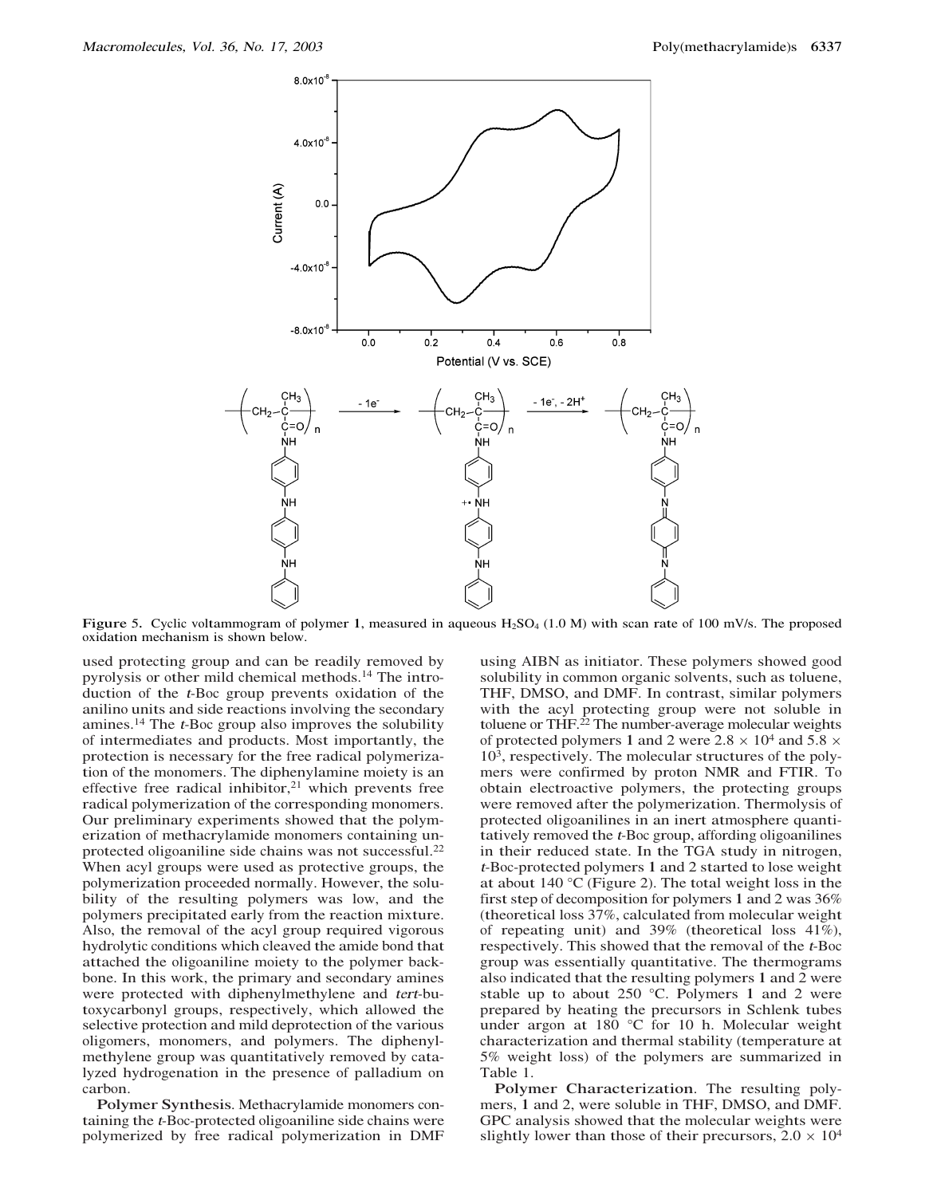

Figure 5. Cyclic voltammogram of polymer 1, measured in aqueous  $H_2SO_4$  (1.0 M) with scan rate of 100 mV/s. The proposed oxidation mechanism is shown below.

used protecting group and can be readily removed by pyrolysis or other mild chemical methods.14 The introduction of the <sup>t</sup>-Boc group prevents oxidation of the anilino units and side reactions involving the secondary amines.<sup>14</sup> The  $t$ -Boc group also improves the solubility of intermediates and products. Most importantly, the protection is necessary for the free radical polymerization of the monomers. The diphenylamine moiety is an effective free radical inhibitor, $21$  which prevents free radical polymerization of the corresponding monomers. Our preliminary experiments showed that the polymerization of methacrylamide monomers containing unprotected oligoaniline side chains was not successful.<sup>22</sup> When acyl groups were used as protective groups, the polymerization proceeded normally. However, the solubility of the resulting polymers was low, and the polymers precipitated early from the reaction mixture. Also, the removal of the acyl group required vigorous hydrolytic conditions which cleaved the amide bond that attached the oligoaniline moiety to the polymer backbone. In this work, the primary and secondary amines were protected with diphenylmethylene and <sup>t</sup>er<sup>t</sup>-butoxycarbonyl groups, respectively, which allowed the selective protection and mild deprotection of the various oligomers, monomers, and polymers. The diphenylmethylene group was quantitatively removed by catalyzed hydrogenation in the presence of palladium on carbon.

Polymer Synthesis. Methacrylamide monomers containing the <sup>t</sup>-Boc-protected oligoaniline side chains were polymerized by free radical polymerization in DMF using AIBN as initiator. These polymers showed good solubility in common organic solvents, such as toluene, THF, DMSO, and DMF. In contrast, similar polymers with the acyl protecting group were not soluble in toluene or THF. $^{22}$  The number-average molecular weights of protected polymers 1 and 2 were  $2.8 \times 10^4$  and  $5.8 \times$  $10<sup>3</sup>$ , respectively. The molecular structures of the polymers were confirmed by proton NMR and FTIR. To obtain electroactive polymers, the protecting groups were removed after the polymerization. Thermolysis of protected oligoanilines in an inert atmosphere quantitatively removed the <sup>t</sup>-Boc group, affording oligoanilines in their reduced state. In the TGA study in nitrogen, <sup>t</sup>-Boc-protected polymers 1 and 2 started to lose weight at about 140 °C (Figure 2). The total weight loss in the first step of decomposition for polymers 1 and 2 was 36% (theoretical loss 37%, calculated from molecular weight of repeating unit) and 39% (theoretical loss 41%), respectively. This showed that the removal of the <sup>t</sup>-Boc group was essentially quantitative. The thermograms also indicated that the resulting polymers 1 and 2 were stable up to about 250 °C. Polymers 1 and 2 were prepared by heating the precursors in Schlenk tubes under argon at 180 °C for 10 h. Molecular weight characterization and thermal stability (temperature at 5% weight loss) of the polymers are summarized in Table 1.

Polymer Characterization. The resulting polymers, 1 and 2, were soluble in THF, DMSO, and DMF. GPC analysis showed that the molecular weights were slightly lower than those of their precursors,  $2.0 \times 10^4$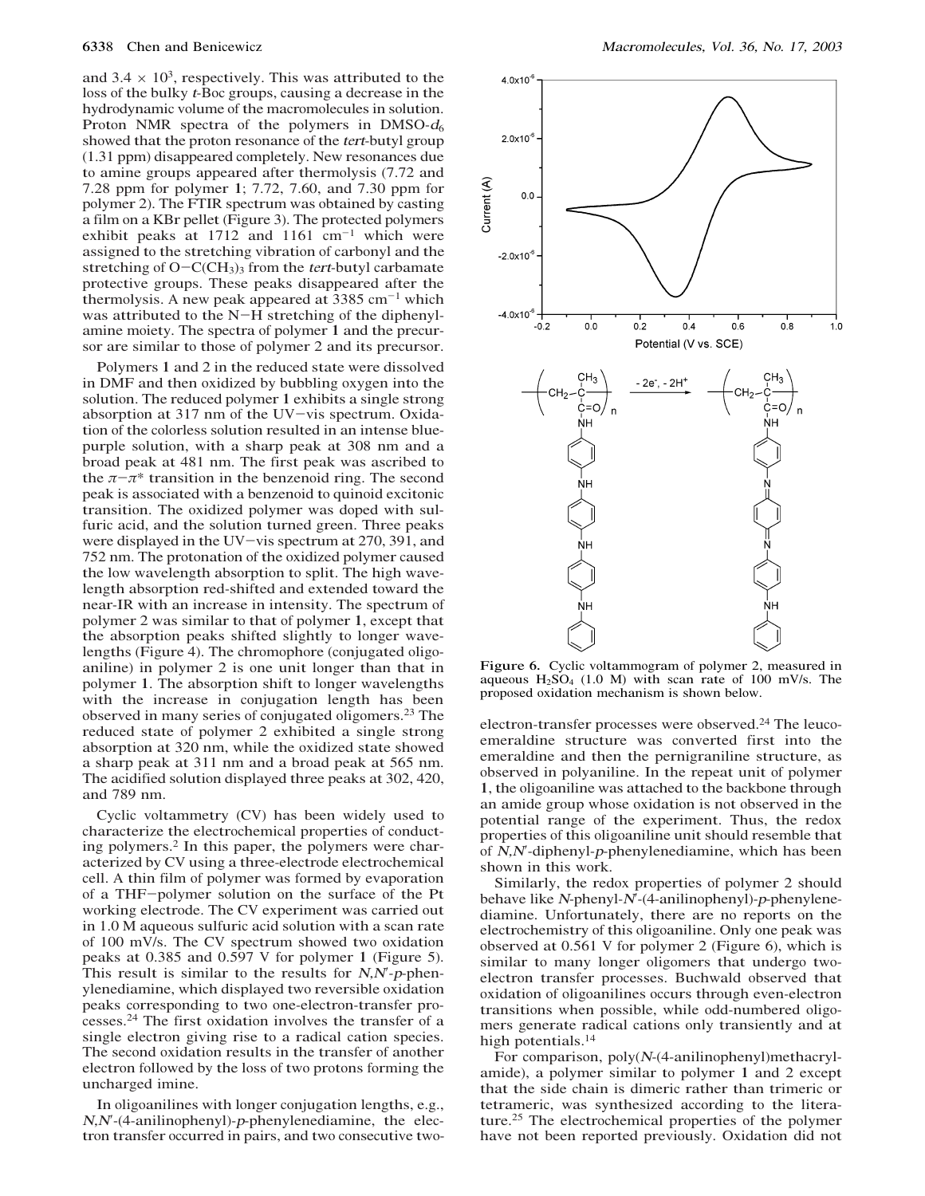and  $3.4 \times 10^3$ , respectively. This was attributed to the loss of the bulky <sup>t</sup>-Boc groups, causing a decrease in the hydrodynamic volume of the macromolecules in solution. Proton NMR spectra of the polymers in DMSO- $d_6$ showed that the proton resonance of the *tert*-butyl group (1.31 ppm) disappeared completely. New resonances due to amine groups appeared after thermolysis (7.72 and 7.28 ppm for polymer 1; 7.72, 7.60, and 7.30 ppm for polymer 2). The FTIR spectrum was obtained by casting a film on a KBr pellet (Figure 3). The protected polymers exhibit peaks at  $1712$  and  $1161$  cm<sup>-1</sup> which were assigned to the stretching vibration of carbonyl and the stretching of  $O - C(CH_3)$ <sub>3</sub> from the *tert*-butyl carbamate protective groups. These peaks disappeared after the thermolysis. A new peak appeared at  $3385 \text{ cm}^{-1}$  which was attributed to the N-H stretching of the diphenylamine moiety. The spectra of polymer 1 and the precursor are similar to those of polymer 2 and its precursor.

Polymers 1 and 2 in the reduced state were dissolved in DMF and then oxidized by bubbling oxygen into the solution. The reduced polymer 1 exhibits a single strong absorption at 317 nm of the UV-vis spectrum. Oxidation of the colorless solution resulted in an intense bluepurple solution, with a sharp peak at 308 nm and a broad peak at 481 nm. The first peak was ascribed to the  $\pi-\pi^*$  transition in the benzenoid ring. The second peak is associated with a benzenoid to quinoid excitonic transition. The oxidized polymer was doped with sulfuric acid, and the solution turned green. Three peaks were displayed in the UV-vis spectrum at 270, 391, and 752 nm. The protonation of the oxidized polymer caused the low wavelength absorption to split. The high wavelength absorption red-shifted and extended toward the near-IR with an increase in intensity. The spectrum of polymer 2 was similar to that of polymer 1, except that the absorption peaks shifted slightly to longer wavelengths (Figure 4). The chromophore (conjugated oligoaniline) in polymer 2 is one unit longer than that in polymer 1. The absorption shift to longer wavelengths with the increase in conjugation length has been observed in many series of conjugated oligomers.23 The reduced state of polymer 2 exhibited a single strong absorption at 320 nm, while the oxidized state showed a sharp peak at 311 nm and a broad peak at 565 nm. The acidified solution displayed three peaks at 302, 420, and 789 nm.

Cyclic voltammetry (CV) has been widely used to characterize the electrochemical properties of conducting polymers.2 In this paper, the polymers were characterized by CV using a three-electrode electrochemical cell. A thin film of polymer was formed by evaporation of a THF-polymer solution on the surface of the Pt working electrode. The CV experiment was carried out in 1.0 M aqueous sulfuric acid solution with a scan rate of 100 mV/s. The CV spectrum showed two oxidation peaks at 0.385 and 0.597 V for polymer 1 (Figure 5). This result is similar to the results for  $N$ , $N$ -p-phenylenediamine, which displayed two reversible oxidation peaks corresponding to two one-electron-transfer processes.24 The first oxidation involves the transfer of a single electron giving rise to a radical cation species. The second oxidation results in the transfer of another electron followed by the loss of two protons forming the uncharged imine.

In oligoanilines with longer conjugation lengths, e.g.,  $N, N'$ -(4-anilinophenyl)-p-phenylenediamine, the electron transfer occurred in pairs, and two consecutive two-



Figure 6. Cyclic voltammogram of polymer 2, measured in aqueous  $H_2SO_4$  (1.0 M) with scan rate of 100 mV/s. The proposed oxidation mechanism is shown below.

electron-transfer processes were observed.<sup>24</sup> The leucoemeraldine structure was converted first into the emeraldine and then the pernigraniline structure, as observed in polyaniline. In the repeat unit of polymer 1, the oligoaniline was attached to the backbone through an amide group whose oxidation is not observed in the potential range of the experiment. Thus, the redox properties of this oligoaniline unit should resemble that of  $N$ , $N$ -diphenyl- $p$ -phenylenediamine, which has been shown in this work.

Similarly, the redox properties of polymer 2 should behave like  $N$ -phenyl- $N'$ -(4-anilinophenyl)-p-phenylenediamine. Unfortunately, there are no reports on the electrochemistry of this oligoaniline. Only one peak was observed at 0.561 V for polymer 2 (Figure 6), which is similar to many longer oligomers that undergo twoelectron transfer processes. Buchwald observed that oxidation of oligoanilines occurs through even-electron transitions when possible, while odd-numbered oligomers generate radical cations only transiently and at high potentials.<sup>14</sup>

For comparison,  $poly(N-(4-anilinophenyl))$ methacrylamide), a polymer similar to polymer 1 and 2 except that the side chain is dimeric rather than trimeric or tetrameric, was synthesized according to the literature.25 The electrochemical properties of the polymer have not been reported previously. Oxidation did not